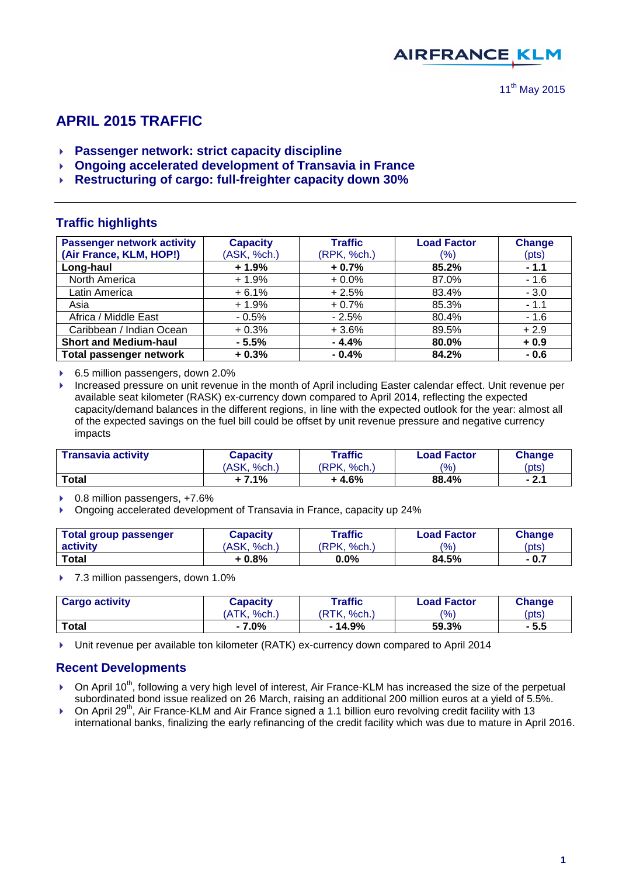

# **APRIL 2015 TRAFFIC**

- **Passenger network: strict capacity discipline**
- **Ongoing accelerated development of Transavia in France**
- **Restructuring of cargo: full-freighter capacity down 30%**

## **Traffic highlights**

| <b>Passenger network activity</b> | <b>Capacity</b> | <b>Traffic</b> | <b>Load Factor</b> | <b>Change</b> |
|-----------------------------------|-----------------|----------------|--------------------|---------------|
| (Air France, KLM, HOP!)           | (ASK, %ch.)     | (RPK, %ch.)    | (%)                | (pts)         |
| Long-haul                         | $+1.9%$         | $+0.7%$        | 85.2%              | $-1.1$        |
| North America                     | $+1.9%$         | $+0.0%$        | 87.0%              | $-1.6$        |
| Latin America                     | $+6.1%$         | $+2.5%$        | 83.4%              | $-3.0$        |
| Asia                              | $+1.9%$         | $+0.7%$        | 85.3%              | $-1.1$        |
| Africa / Middle East              | $-0.5%$         | $-2.5%$        | 80.4%              | $-1.6$        |
| Caribbean / Indian Ocean          | $+0.3%$         | $+3.6%$        | 89.5%              | $+2.9$        |
| <b>Short and Medium-haul</b>      | $-5.5%$         | $-4.4%$        | 80.0%              | $+0.9$        |
| <b>Total passenger network</b>    | $+0.3%$         | $-0.4%$        | 84.2%              | $-0.6$        |

▶ 6.5 million passengers, down 2.0%

**Increased pressure on unit revenue in the month of April including Easter calendar effect. Unit revenue per** available seat kilometer (RASK) ex-currency down compared to April 2014, reflecting the expected capacity/demand balances in the different regions, in line with the expected outlook for the year: almost all of the expected savings on the fuel bill could be offset by unit revenue pressure and negative currency impacts

| <b>Transavia activity</b> | Capacity    | Traffic     | <b>Load Factor</b> | <b>Change</b> |  |
|---------------------------|-------------|-------------|--------------------|---------------|--|
|                           | (ASK, %ch.) | (RPK. %ch.) | $\frac{(9)}{0}$    | $^{(pts)}$    |  |
| Total                     | + 7.1%      | $+4.6%$     | 88.4%              | - 2.1         |  |

▶ 0.8 million passengers, +7.6%

Ongoing accelerated development of Transavia in France, capacity up 24%

| Total group passenger | Capacity    | Traffic     | <b>Load Factor</b> | <b>Change</b> |
|-----------------------|-------------|-------------|--------------------|---------------|
| activity              | (ASK, %ch.) | (RPK, %ch.) | $\frac{10}{6}$     | (pts)         |
| <b>Total</b>          | $+0.8\%$    | 0.0%        | 84.5%              | - 0.7         |

▶ 7.3 million passengers, down 1.0%

| <b>Cargo activity</b> | Capacity    | Traffic         | <b>Load Factor</b> | <b>Change</b> |  |
|-----------------------|-------------|-----------------|--------------------|---------------|--|
|                       | (ATK. %ch.) | 'RTK.<br>ິ%ch., | (9/6)              | (pts)         |  |
| <b>Total</b>          | - 7.0%      | - 14.9%         | 59.3%              | - 5.5         |  |

▶ Unit revenue per available ton kilometer (RATK) ex-currency down compared to April 2014

## **Recent Developments**

- $\triangleright$  On April 10<sup>th</sup>, following a very high level of interest, Air France-KLM has increased the size of the perpetual subordinated bond issue realized on 26 March, raising an additional 200 million euros at a yield of 5.5%.
- $\triangleright$  On April 29<sup>th</sup>, Air France-KLM and Air France signed a 1.1 billion euro revolving credit facility with 13 international banks, finalizing the early refinancing of the credit facility which was due to mature in April 2016.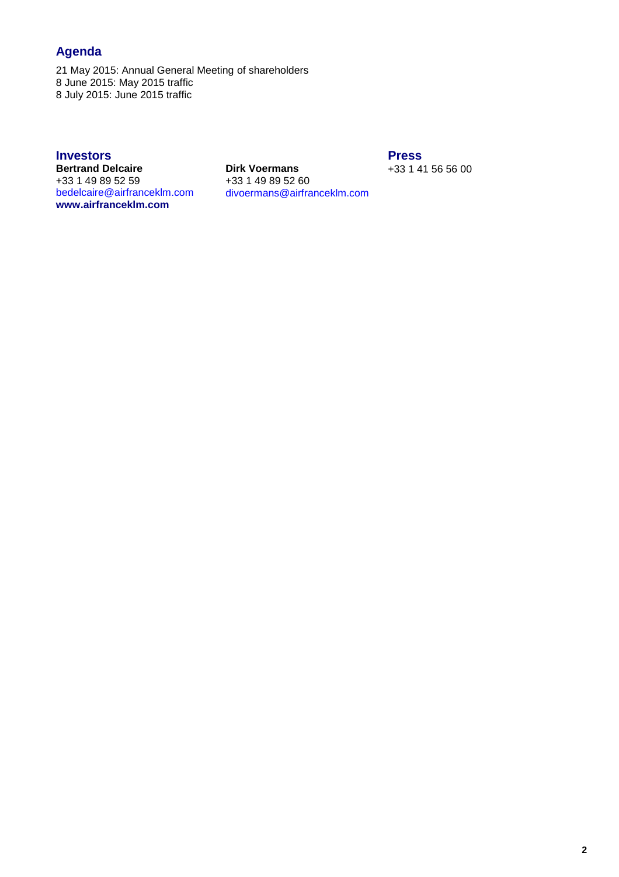# **Agenda**

21 May 2015: Annual General Meeting of shareholders 8 June 2015: May 2015 traffic 8 July 2015: June 2015 traffic

**Bertrand Delcaire Dirk Voermans** +33 1 41 56 56 00  $+33$  1 49 89 52 59<br>bedelcaire@airfranceklm.com **[www.airfranceklm.com](http://www.airfranceklm.com/)**

**Investors**<br> **Bertrand Delcaire**<br> **Dirk Voermans Example 10 and 10 and 10 and 10 and 10 and 10 and 10 and 10 and 10 and 10 and 10 and 10 and 10 and 10 and 10 and 10 and 10 and 10 and 10 and 10 and 10 and 10 and 10 and 10** [bedelcaire@airfranceklm.com](mailto:bedelcaire@airfranceklm.com) divoermans@airfranceklm.com Website: **[www.airfranceklm-finance.com](http://www.airfranceklm-finance.com/)**